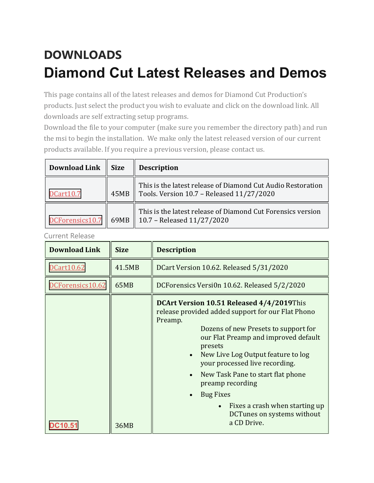## **DOWNLOADS Diamond Cut Latest Releases and Demos**

This page contains all of the latest releases and demos for Diamond Cut Production's products. Just select the product you wish to evaluate and click on the download link. All downloads are self extracting setup programs.

Download the file to your computer (make sure you remember the directory path) and run the msi to begin the installation. We make only the latest released version of our current products available. If you require a previous version, please contact us.

| <b>Download Link</b> | <b>Size</b> | <b>Description</b>                                                                                       |
|----------------------|-------------|----------------------------------------------------------------------------------------------------------|
| DCart10.7            | 45MB        | This is the latest release of Diamond Cut Audio Restoration<br>Tools. Version 10.7 - Released 11/27/2020 |
| DCForensics10.7      | 69MB        | This is the latest release of Diamond Cut Forensics version<br>  10.7 - Released $11/27/2020$            |

Current Release

| <b>Download Link</b> | <b>Size</b> | <b>Description</b>                                                                                                                                                                                                                                                                                                                                                                                                                                    |
|----------------------|-------------|-------------------------------------------------------------------------------------------------------------------------------------------------------------------------------------------------------------------------------------------------------------------------------------------------------------------------------------------------------------------------------------------------------------------------------------------------------|
| DCart10.62           | 41.5MB      | DCart Version 10.62. Released 5/31/2020                                                                                                                                                                                                                                                                                                                                                                                                               |
| DCForensics10.62     | 65MB        | DCForensics Versi0n 10.62. Released 5/2/2020                                                                                                                                                                                                                                                                                                                                                                                                          |
|                      | 36MB        | DCArt Version 10.51 Released 4/4/2019This<br>release provided added support for our Flat Phono<br>Preamp.<br>Dozens of new Presets to support for<br>our Flat Preamp and improved default<br>presets<br>New Live Log Output feature to log<br>$\bullet$<br>your processed live recording.<br>New Task Pane to start flat phone<br>preamp recording<br><b>Bug Fixes</b><br>Fixes a crash when starting up<br>DCTunes on systems without<br>a CD Drive. |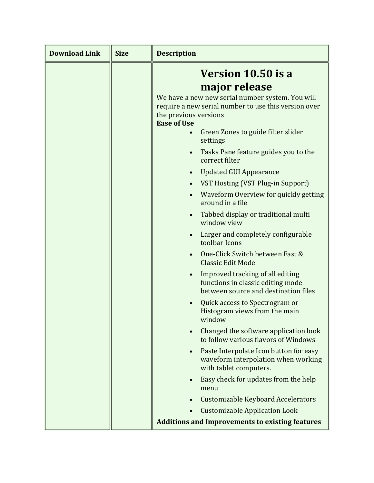| <b>Download Link</b> | <b>Size</b> | <b>Description</b>                                                                                                                                      |
|----------------------|-------------|---------------------------------------------------------------------------------------------------------------------------------------------------------|
|                      |             | Version 10.50 is a                                                                                                                                      |
|                      |             | major release                                                                                                                                           |
|                      |             | We have a new new serial number system. You will<br>require a new serial number to use this version over<br>the previous versions<br><b>Ease of Use</b> |
|                      |             | Green Zones to guide filter slider<br>settings                                                                                                          |
|                      |             | Tasks Pane feature guides you to the<br>correct filter                                                                                                  |
|                      |             | <b>Updated GUI Appearance</b>                                                                                                                           |
|                      |             | VST Hosting (VST Plug-in Support)                                                                                                                       |
|                      |             | Waveform Overview for quickly getting<br>around in a file                                                                                               |
|                      |             | Tabbed display or traditional multi<br>$\bullet$<br>window view                                                                                         |
|                      |             | Larger and completely configurable<br>toolbar Icons                                                                                                     |
|                      |             | One-Click Switch between Fast &<br><b>Classic Edit Mode</b>                                                                                             |
|                      |             | Improved tracking of all editing<br>functions in classic editing mode<br>between source and destination files                                           |
|                      |             | Quick access to Spectrogram or<br>Histogram views from the main<br>window                                                                               |
|                      |             | Changed the software application look<br>to follow various flavors of Windows                                                                           |
|                      |             | Paste Interpolate Icon button for easy<br>$\bullet$<br>waveform interpolation when working<br>with tablet computers.                                    |
|                      |             | Easy check for updates from the help<br>menu                                                                                                            |
|                      |             | <b>Customizable Keyboard Accelerators</b>                                                                                                               |
|                      |             | <b>Customizable Application Look</b>                                                                                                                    |
|                      |             | <b>Additions and Improvements to existing features</b>                                                                                                  |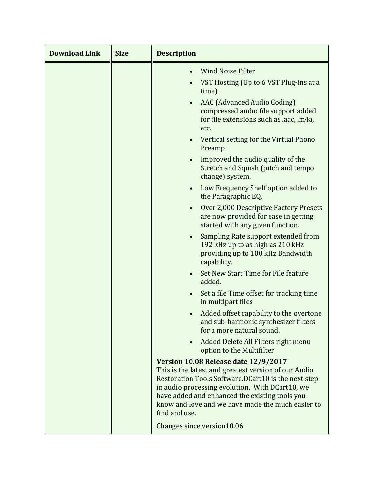| <b>Download Link</b> | <b>Size</b> | <b>Description</b>                                                                                                                                                                                                                                                                                                             |
|----------------------|-------------|--------------------------------------------------------------------------------------------------------------------------------------------------------------------------------------------------------------------------------------------------------------------------------------------------------------------------------|
|                      |             | <b>Wind Noise Filter</b><br>VST Hosting (Up to 6 VST Plug-ins at a<br>time)                                                                                                                                                                                                                                                    |
|                      |             | AAC (Advanced Audio Coding)<br>$\bullet$<br>compressed audio file support added<br>for file extensions such as .aac, .m4a,<br>etc.                                                                                                                                                                                             |
|                      |             | Vertical setting for the Virtual Phono<br>$\bullet$<br>Preamp                                                                                                                                                                                                                                                                  |
|                      |             | Improved the audio quality of the<br>$\bullet$<br>Stretch and Squish (pitch and tempo<br>change) system.                                                                                                                                                                                                                       |
|                      |             | Low Frequency Shelf option added to<br>$\bullet$<br>the Paragraphic EQ.                                                                                                                                                                                                                                                        |
|                      |             | Over 2,000 Descriptive Factory Presets<br>$\bullet$<br>are now provided for ease in getting<br>started with any given function.                                                                                                                                                                                                |
|                      |             | Sampling Rate support extended from<br>$\bullet$<br>192 kHz up to as high as 210 kHz<br>providing up to 100 kHz Bandwidth<br>capability.                                                                                                                                                                                       |
|                      |             | Set New Start Time for File feature<br>$\bullet$<br>added.                                                                                                                                                                                                                                                                     |
|                      |             | Set a file Time offset for tracking time<br>$\bullet$<br>in multipart files                                                                                                                                                                                                                                                    |
|                      |             | Added offset capability to the overtone<br>and sub-harmonic synthesizer filters<br>for a more natural sound.                                                                                                                                                                                                                   |
|                      |             | Added Delete All Filters right menu<br>$\bullet$<br>option to the Multifilter                                                                                                                                                                                                                                                  |
|                      |             | Version 10.08 Release date 12/9/2017<br>This is the latest and greatest version of our Audio<br>Restoration Tools Software.DCart10 is the next step<br>in audio processing evolution. With DCart10, we<br>have added and enhanced the existing tools you<br>know and love and we have made the much easier to<br>find and use. |
|                      |             | Changes since version10.06                                                                                                                                                                                                                                                                                                     |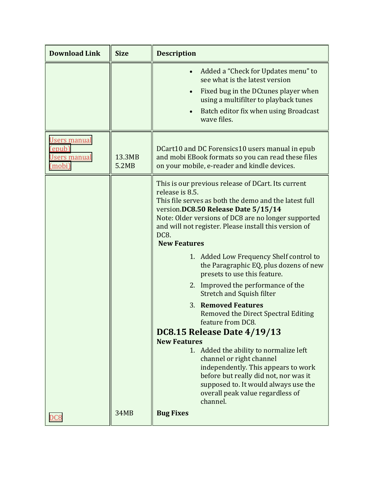| <b>Download Link</b>                                    | <b>Size</b>     | <b>Description</b>                                                                                                                                                                                                                                                                                                                                                                                        |
|---------------------------------------------------------|-----------------|-----------------------------------------------------------------------------------------------------------------------------------------------------------------------------------------------------------------------------------------------------------------------------------------------------------------------------------------------------------------------------------------------------------|
|                                                         |                 | Added a "Check for Updates menu" to<br>$\bullet$<br>see what is the latest version<br>Fixed bug in the DC tunes player when<br>$\bullet$<br>using a multifilter to playback tunes<br>Batch editor fix when using Broadcast<br>$\bullet$<br>wave files.                                                                                                                                                    |
| Users manual<br>(epub)<br><b>Users manual</b><br>(mobi) | 13.3MB<br>5.2MB | DCart10 and DC Forensics10 users manual in epub<br>and mobi EBook formats so you can read these files<br>on your mobile, e-reader and kindle devices.                                                                                                                                                                                                                                                     |
|                                                         |                 | This is our previous release of DCart. Its current<br>release is 8.5.<br>This file serves as both the demo and the latest full<br>version.DC8.50 Release Date 5/15/14<br>Note: Older versions of DC8 are no longer supported<br>and will not register. Please install this version of<br>DC8.<br><b>New Features</b><br>1. Added Low Frequency Shelf control to<br>the Paragraphic EQ, plus dozens of new |
|                                                         |                 | presets to use this feature.<br>2. Improved the performance of the<br><b>Stretch and Squish filter</b>                                                                                                                                                                                                                                                                                                    |
|                                                         |                 | 3. Removed Features<br>Removed the Direct Spectral Editing<br>feature from DC8.<br><b>DC8.15 Release Date 4/19/13</b><br><b>New Features</b><br>1. Added the ability to normalize left<br>channel or right channel<br>independently. This appears to work<br>before but really did not, nor was it<br>supposed to. It would always use the<br>overall peak value regardless of<br>channel.                |
| <u>DC8</u>                                              | 34MB            | <b>Bug Fixes</b>                                                                                                                                                                                                                                                                                                                                                                                          |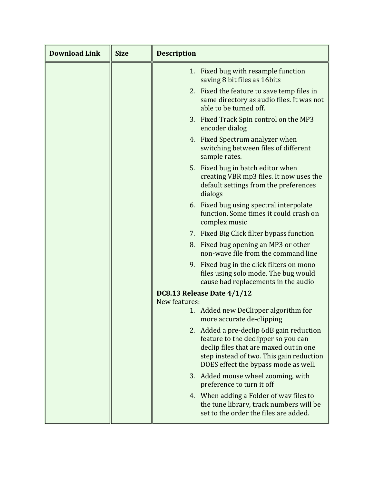| <b>Download Link</b> | <b>Size</b> | <b>Description</b>                                                                                                                                                                                            |
|----------------------|-------------|---------------------------------------------------------------------------------------------------------------------------------------------------------------------------------------------------------------|
|                      |             | 1. Fixed bug with resample function<br>saving 8 bit files as 16 bits                                                                                                                                          |
|                      |             | 2. Fixed the feature to save temp files in<br>same directory as audio files. It was not<br>able to be turned off.                                                                                             |
|                      |             | 3. Fixed Track Spin control on the MP3<br>encoder dialog                                                                                                                                                      |
|                      |             | 4. Fixed Spectrum analyzer when<br>switching between files of different<br>sample rates.                                                                                                                      |
|                      |             | 5. Fixed bug in batch editor when<br>creating VBR mp3 files. It now uses the<br>default settings from the preferences<br>dialogs                                                                              |
|                      |             | 6. Fixed bug using spectral interpolate<br>function. Some times it could crash on<br>complex music                                                                                                            |
|                      |             | 7. Fixed Big Click filter bypass function                                                                                                                                                                     |
|                      |             | 8. Fixed bug opening an MP3 or other<br>non-wave file from the command line                                                                                                                                   |
|                      |             | 9. Fixed bug in the click filters on mono<br>files using solo mode. The bug would<br>cause bad replacements in the audio                                                                                      |
|                      |             | DC8.13 Release Date 4/1/12                                                                                                                                                                                    |
|                      |             | New features:<br>1. Added new DeClipper algorithm for                                                                                                                                                         |
|                      |             | more accurate de-clipping                                                                                                                                                                                     |
|                      |             | 2. Added a pre-declip 6dB gain reduction<br>feature to the declipper so you can<br>declip files that are maxed out in one<br>step instead of two. This gain reduction<br>DOES effect the bypass mode as well. |
|                      |             | Added mouse wheel zooming, with<br>3.<br>preference to turn it off                                                                                                                                            |
|                      |             | 4. When adding a Folder of way files to<br>the tune library, track numbers will be<br>set to the order the files are added.                                                                                   |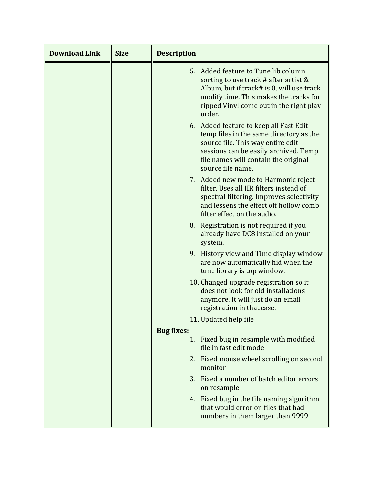| <b>Download Link</b> | <b>Size</b> | <b>Description</b>      |                                                                                                                                                                                                                              |
|----------------------|-------------|-------------------------|------------------------------------------------------------------------------------------------------------------------------------------------------------------------------------------------------------------------------|
|                      |             |                         | 5. Added feature to Tune lib column<br>sorting to use track # after artist $\&$<br>Album, but if track# is 0, will use track<br>modify time. This makes the tracks for<br>ripped Vinyl come out in the right play<br>order.  |
|                      |             |                         | 6. Added feature to keep all Fast Edit<br>temp files in the same directory as the<br>source file. This way entire edit<br>sessions can be easily archived. Temp<br>file names will contain the original<br>source file name. |
|                      |             |                         | 7. Added new mode to Harmonic reject<br>filter. Uses all IIR filters instead of<br>spectral filtering. Improves selectivity<br>and lessens the effect off hollow comb<br>filter effect on the audio.                         |
|                      |             |                         | 8. Registration is not required if you<br>already have DC8 installed on your<br>system.                                                                                                                                      |
|                      |             |                         | 9. History view and Time display window<br>are now automatically hid when the<br>tune library is top window.                                                                                                                 |
|                      |             |                         | 10. Changed upgrade registration so it<br>does not look for old installations<br>anymore. It will just do an email<br>registration in that case.                                                                             |
|                      |             |                         | 11. Updated help file                                                                                                                                                                                                        |
|                      |             | <b>Bug fixes:</b><br>1. | Fixed bug in resample with modified                                                                                                                                                                                          |
|                      |             |                         | file in fast edit mode                                                                                                                                                                                                       |
|                      |             |                         | 2. Fixed mouse wheel scrolling on second<br>monitor                                                                                                                                                                          |
|                      |             |                         | 3. Fixed a number of batch editor errors<br>on resample                                                                                                                                                                      |
|                      |             |                         | 4. Fixed bug in the file naming algorithm<br>that would error on files that had<br>numbers in them larger than 9999                                                                                                          |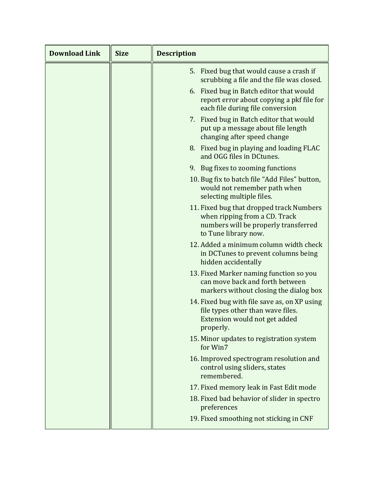| <b>Download Link</b> | <b>Size</b> | <b>Description</b>                                                                                                                        |
|----------------------|-------------|-------------------------------------------------------------------------------------------------------------------------------------------|
|                      |             | 5. Fixed bug that would cause a crash if<br>scrubbing a file and the file was closed.                                                     |
|                      |             | 6. Fixed bug in Batch editor that would<br>report error about copying a pkf file for<br>each file during file conversion                  |
|                      |             | 7. Fixed bug in Batch editor that would<br>put up a message about file length<br>changing after speed change                              |
|                      |             | 8. Fixed bug in playing and loading FLAC<br>and OGG files in DCtunes.                                                                     |
|                      |             | 9. Bug fixes to zooming functions                                                                                                         |
|                      |             | 10. Bug fix to batch file "Add Files" button,<br>would not remember path when<br>selecting multiple files.                                |
|                      |             | 11. Fixed bug that dropped track Numbers<br>when ripping from a CD. Track<br>numbers will be properly transferred<br>to Tune library now. |
|                      |             | 12. Added a minimum column width check<br>in DCTunes to prevent columns being<br>hidden accidentally                                      |
|                      |             | 13. Fixed Marker naming function so you<br>can move back and forth between<br>markers without closing the dialog box                      |
|                      |             | 14. Fixed bug with file save as, on XP using<br>file types other than wave files.<br>Extension would not get added<br>properly.           |
|                      |             | 15. Minor updates to registration system<br>for Win7                                                                                      |
|                      |             | 16. Improved spectrogram resolution and<br>control using sliders, states<br>remembered.                                                   |
|                      |             | 17. Fixed memory leak in Fast Edit mode                                                                                                   |
|                      |             | 18. Fixed bad behavior of slider in spectro<br>preferences                                                                                |
|                      |             | 19. Fixed smoothing not sticking in CNF                                                                                                   |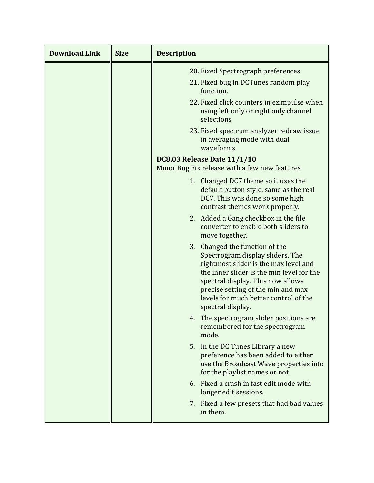| <b>Download Link</b> | <b>Size</b> | <b>Description</b>                                                                                                                                                                                                                                                                                |
|----------------------|-------------|---------------------------------------------------------------------------------------------------------------------------------------------------------------------------------------------------------------------------------------------------------------------------------------------------|
|                      |             | 20. Fixed Spectrograph preferences                                                                                                                                                                                                                                                                |
|                      |             | 21. Fixed bug in DCTunes random play<br>function.                                                                                                                                                                                                                                                 |
|                      |             | 22. Fixed click counters in ezimpulse when<br>using left only or right only channel<br>selections                                                                                                                                                                                                 |
|                      |             | 23. Fixed spectrum analyzer redraw issue<br>in averaging mode with dual<br>waveforms                                                                                                                                                                                                              |
|                      |             | <b>DC8.03 Release Date 11/1/10</b><br>Minor Bug Fix release with a few new features                                                                                                                                                                                                               |
|                      |             | 1. Changed DC7 theme so it uses the<br>default button style, same as the real<br>DC7. This was done so some high<br>contrast themes work properly.                                                                                                                                                |
|                      |             | 2. Added a Gang checkbox in the file<br>converter to enable both sliders to<br>move together.                                                                                                                                                                                                     |
|                      |             | 3. Changed the function of the<br>Spectrogram display sliders. The<br>rightmost slider is the max level and<br>the inner slider is the min level for the<br>spectral display. This now allows<br>precise setting of the min and max<br>levels for much better control of the<br>spectral display. |
|                      |             | 4. The spectrogram slider positions are<br>remembered for the spectrogram<br>mode.                                                                                                                                                                                                                |
|                      |             | 5. In the DC Tunes Library a new<br>preference has been added to either<br>use the Broadcast Wave properties info<br>for the playlist names or not.                                                                                                                                               |
|                      |             | 6. Fixed a crash in fast edit mode with<br>longer edit sessions.                                                                                                                                                                                                                                  |
|                      |             | 7. Fixed a few presets that had bad values<br>in them.                                                                                                                                                                                                                                            |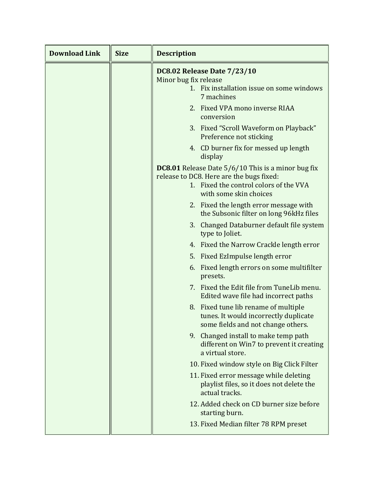| <b>Download Link</b> | <b>Size</b> | <b>Description</b>                                                                                                                                                        |
|----------------------|-------------|---------------------------------------------------------------------------------------------------------------------------------------------------------------------------|
|                      |             | <b>DC8.02 Release Date 7/23/10</b><br>Minor bug fix release<br>1. Fix installation issue on some windows<br>7 machines<br>2. Fixed VPA mono inverse RIAA                  |
|                      |             | conversion<br>3. Fixed "Scroll Waveform on Playback"<br>Preference not sticking                                                                                           |
|                      |             | 4. CD burner fix for messed up length<br>display                                                                                                                          |
|                      |             | <b>DC8.01</b> Release Date 5/6/10 This is a minor bug fix<br>release to DC8. Here are the bugs fixed:<br>1. Fixed the control colors of the VVA<br>with some skin choices |
|                      |             | 2. Fixed the length error message with<br>the Subsonic filter on long 96kHz files                                                                                         |
|                      |             | 3. Changed Databurner default file system<br>type to Joliet.                                                                                                              |
|                      |             | 4. Fixed the Narrow Crackle length error                                                                                                                                  |
|                      |             | 5. Fixed EzImpulse length error                                                                                                                                           |
|                      |             | 6. Fixed length errors on some multifilter<br>presets.                                                                                                                    |
|                      |             | 7. Fixed the Edit file from TuneLib menu.<br>Edited wave file had incorrect paths                                                                                         |
|                      |             | 8. Fixed tune lib rename of multiple<br>tunes. It would incorrectly duplicate<br>some fields and not change others.                                                       |
|                      |             | 9. Changed install to make temp path<br>different on Win7 to prevent it creating<br>a virtual store.                                                                      |
|                      |             | 10. Fixed window style on Big Click Filter                                                                                                                                |
|                      |             | 11. Fixed error message while deleting<br>playlist files, so it does not delete the<br>actual tracks.                                                                     |
|                      |             | 12. Added check on CD burner size before<br>starting burn.                                                                                                                |
|                      |             | 13. Fixed Median filter 78 RPM preset                                                                                                                                     |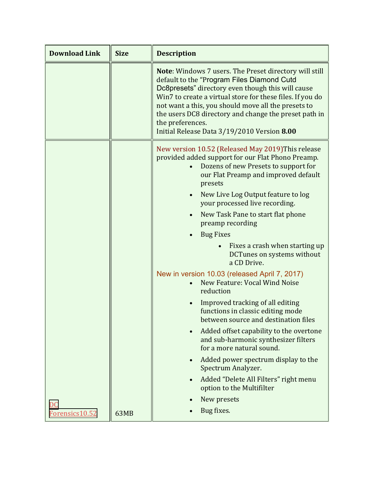| <b>Download Link</b>              | <b>Size</b> | <b>Description</b>                                                                                                                                                                                                                                                                                                                                                                                               |
|-----------------------------------|-------------|------------------------------------------------------------------------------------------------------------------------------------------------------------------------------------------------------------------------------------------------------------------------------------------------------------------------------------------------------------------------------------------------------------------|
|                                   |             | <b>Note:</b> Windows 7 users. The Preset directory will still<br>default to the "Program Files Diamond Cutd<br>Dc8presets" directory even though this will cause<br>Win7 to create a virtual store for these files. If you do<br>not want a this, you should move all the presets to<br>the users DC8 directory and change the preset path in<br>the preferences.<br>Initial Release Data 3/19/2010 Version 8.00 |
|                                   |             | New version 10.52 (Released May 2019) This release<br>provided added support for our Flat Phono Preamp.<br>Dozens of new Presets to support for<br>our Flat Preamp and improved default<br>presets                                                                                                                                                                                                               |
|                                   |             | New Live Log Output feature to log<br>$\bullet$<br>your processed live recording.                                                                                                                                                                                                                                                                                                                                |
|                                   |             | New Task Pane to start flat phone<br>$\bullet$<br>preamp recording                                                                                                                                                                                                                                                                                                                                               |
|                                   |             | <b>Bug Fixes</b>                                                                                                                                                                                                                                                                                                                                                                                                 |
|                                   |             | Fixes a crash when starting up<br><b>DCTunes on systems without</b><br>a CD Drive.                                                                                                                                                                                                                                                                                                                               |
|                                   |             | New in version 10.03 (released April 7, 2017)<br>New Feature: Vocal Wind Noise<br>reduction                                                                                                                                                                                                                                                                                                                      |
|                                   |             | Improved tracking of all editing<br>functions in classic editing mode<br>between source and destination files                                                                                                                                                                                                                                                                                                    |
|                                   |             | Added offset capability to the overtone<br>and sub-harmonic synthesizer filters<br>for a more natural sound.                                                                                                                                                                                                                                                                                                     |
|                                   |             | Added power spectrum display to the<br>$\bullet$<br>Spectrum Analyzer.                                                                                                                                                                                                                                                                                                                                           |
|                                   |             | Added "Delete All Filters" right menu<br>$\bullet$<br>option to the Multifilter                                                                                                                                                                                                                                                                                                                                  |
|                                   |             | New presets                                                                                                                                                                                                                                                                                                                                                                                                      |
| $\overline{DC}$<br>Forensics10.52 | 63MB        | Bug fixes.                                                                                                                                                                                                                                                                                                                                                                                                       |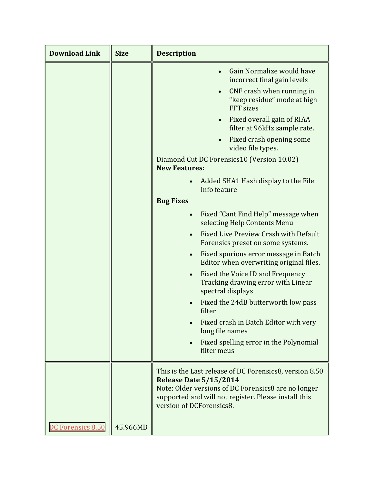| <b>Download Link</b> | <b>Size</b> | <b>Description</b>                                                                                                                      |
|----------------------|-------------|-----------------------------------------------------------------------------------------------------------------------------------------|
|                      |             | Gain Normalize would have<br>$\bullet$<br>incorrect final gain levels                                                                   |
|                      |             | CNF crash when running in<br>"keep residue" mode at high<br>FFT sizes                                                                   |
|                      |             | Fixed overall gain of RIAA<br>$\bullet$<br>filter at 96kHz sample rate.                                                                 |
|                      |             | Fixed crash opening some<br>video file types.                                                                                           |
|                      |             | Diamond Cut DC Forensics10 (Version 10.02)<br><b>New Features:</b>                                                                      |
|                      |             | Added SHA1 Hash display to the File<br>Info feature                                                                                     |
|                      |             | <b>Bug Fixes</b>                                                                                                                        |
|                      |             | Fixed "Cant Find Help" message when<br>$\bullet$<br>selecting Help Contents Menu                                                        |
|                      |             | Fixed Live Preview Crash with Default<br>Forensics preset on some systems.                                                              |
|                      |             | Fixed spurious error message in Batch<br>$\bullet$<br>Editor when overwriting original files.                                           |
|                      |             | Fixed the Voice ID and Frequency<br>Tracking drawing error with Linear<br>spectral displays                                             |
|                      |             | Fixed the 24dB butterworth low pass<br>filter                                                                                           |
|                      |             | Fixed crash in Batch Editor with very<br>long file names                                                                                |
|                      |             | Fixed spelling error in the Polynomial<br>$\bullet$<br>filter meus                                                                      |
|                      |             | This is the Last release of DC Forensics8, version 8.50<br>Release Date 5/15/2014                                                       |
|                      |             | Note: Older versions of DC Forensics8 are no longer<br>supported and will not register. Please install this<br>version of DCForensics8. |
| DC Forensics 8.50    | 45.966MB    |                                                                                                                                         |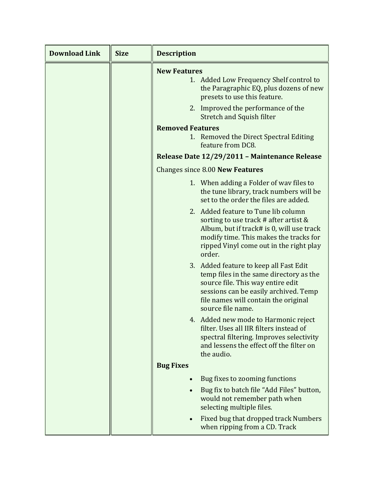| <b>Download Link</b> | <b>Size</b> | <b>Description</b>                                                                                                                                                                                                           |
|----------------------|-------------|------------------------------------------------------------------------------------------------------------------------------------------------------------------------------------------------------------------------------|
|                      |             | <b>New Features</b><br>1. Added Low Frequency Shelf control to<br>the Paragraphic EQ, plus dozens of new<br>presets to use this feature.<br>2. Improved the performance of the                                               |
|                      |             | <b>Stretch and Squish filter</b>                                                                                                                                                                                             |
|                      |             | <b>Removed Features</b>                                                                                                                                                                                                      |
|                      |             | 1. Removed the Direct Spectral Editing<br>feature from DC8.                                                                                                                                                                  |
|                      |             | Release Date 12/29/2011 - Maintenance Release                                                                                                                                                                                |
|                      |             | Changes since 8.00 New Features                                                                                                                                                                                              |
|                      |             | 1. When adding a Folder of way files to<br>the tune library, track numbers will be<br>set to the order the files are added.                                                                                                  |
|                      |             | 2. Added feature to Tune lib column<br>sorting to use track # after artist $\&$<br>Album, but if track# is 0, will use track<br>modify time. This makes the tracks for<br>ripped Vinyl come out in the right play<br>order.  |
|                      |             | 3. Added feature to keep all Fast Edit<br>temp files in the same directory as the<br>source file. This way entire edit<br>sessions can be easily archived. Temp<br>file names will contain the original<br>source file name. |
|                      |             | 4. Added new mode to Harmonic reject<br>filter. Uses all IIR filters instead of<br>spectral filtering. Improves selectivity<br>and lessens the effect off the filter on<br>the audio.                                        |
|                      |             | <b>Bug Fixes</b>                                                                                                                                                                                                             |
|                      |             | Bug fixes to zooming functions<br>$\bullet$                                                                                                                                                                                  |
|                      |             | Bug fix to batch file "Add Files" button,<br>would not remember path when<br>selecting multiple files.                                                                                                                       |
|                      |             | Fixed bug that dropped track Numbers<br>$\bullet$<br>when ripping from a CD. Track                                                                                                                                           |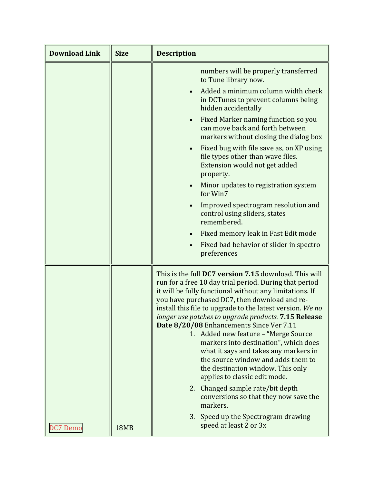| <b>Download Link</b> | <b>Size</b> | <b>Description</b>                                                                                                                                                                                                                                                                                                                                                                                                                                                                                                                                                                                                                        |
|----------------------|-------------|-------------------------------------------------------------------------------------------------------------------------------------------------------------------------------------------------------------------------------------------------------------------------------------------------------------------------------------------------------------------------------------------------------------------------------------------------------------------------------------------------------------------------------------------------------------------------------------------------------------------------------------------|
|                      |             | numbers will be properly transferred<br>to Tune library now.                                                                                                                                                                                                                                                                                                                                                                                                                                                                                                                                                                              |
|                      |             | Added a minimum column width check<br>in DCTunes to prevent columns being<br>hidden accidentally                                                                                                                                                                                                                                                                                                                                                                                                                                                                                                                                          |
|                      |             | Fixed Marker naming function so you<br>$\bullet$<br>can move back and forth between<br>markers without closing the dialog box                                                                                                                                                                                                                                                                                                                                                                                                                                                                                                             |
|                      |             | Fixed bug with file save as, on XP using<br>$\bullet$<br>file types other than wave files.<br>Extension would not get added<br>property.                                                                                                                                                                                                                                                                                                                                                                                                                                                                                                  |
|                      |             | Minor updates to registration system<br>$\bullet$<br>for Win7                                                                                                                                                                                                                                                                                                                                                                                                                                                                                                                                                                             |
|                      |             | Improved spectrogram resolution and<br>control using sliders, states<br>remembered.                                                                                                                                                                                                                                                                                                                                                                                                                                                                                                                                                       |
|                      |             | Fixed memory leak in Fast Edit mode                                                                                                                                                                                                                                                                                                                                                                                                                                                                                                                                                                                                       |
|                      |             | Fixed bad behavior of slider in spectro<br>preferences                                                                                                                                                                                                                                                                                                                                                                                                                                                                                                                                                                                    |
|                      |             | This is the full <b>DC7 version 7.15</b> download. This will<br>run for a free 10 day trial period. During that period<br>it will be fully functional without any limitations. If<br>you have purchased DC7, then download and re-<br>install this file to upgrade to the latest version. We no<br>longer use patches to upgrade products. 7.15 Release<br>Date 8/20/08 Enhancements Since Ver 7.11<br>1. Added new feature - "Merge Source<br>markers into destination", which does<br>what it says and takes any markers in<br>the source window and adds them to<br>the destination window. This only<br>applies to classic edit mode. |
|                      |             | Changed sample rate/bit depth<br>2.<br>conversions so that they now save the<br>markers.                                                                                                                                                                                                                                                                                                                                                                                                                                                                                                                                                  |
| DC7 Demo             | <b>18MB</b> | 3. Speed up the Spectrogram drawing<br>speed at least 2 or 3x                                                                                                                                                                                                                                                                                                                                                                                                                                                                                                                                                                             |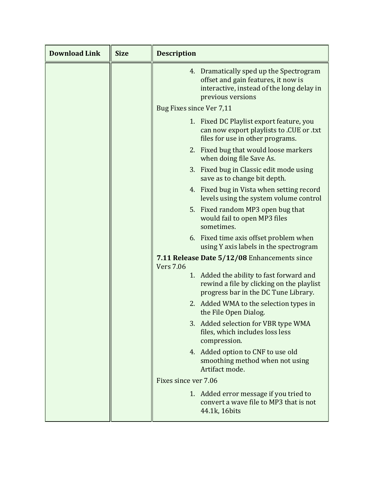| <b>Download Link</b> | <b>Size</b> | <b>Description</b>                                                                                                                                |
|----------------------|-------------|---------------------------------------------------------------------------------------------------------------------------------------------------|
|                      |             | 4. Dramatically sped up the Spectrogram<br>offset and gain features, it now is<br>interactive, instead of the long delay in<br>previous versions  |
|                      |             | Bug Fixes since Ver 7,11                                                                                                                          |
|                      |             | 1. Fixed DC Playlist export feature, you<br>can now export playlists to .CUE or .txt<br>files for use in other programs.                          |
|                      |             | 2. Fixed bug that would loose markers<br>when doing file Save As.                                                                                 |
|                      |             | 3. Fixed bug in Classic edit mode using<br>save as to change bit depth.                                                                           |
|                      |             | 4. Fixed bug in Vista when setting record<br>levels using the system volume control                                                               |
|                      |             | 5. Fixed random MP3 open bug that<br>would fail to open MP3 files<br>sometimes.                                                                   |
|                      |             | 6. Fixed time axis offset problem when<br>using Y axis labels in the spectrogram                                                                  |
|                      |             | 7.11 Release Date 5/12/08 Enhancements since                                                                                                      |
|                      |             | <b>Vers 7.06</b><br>1. Added the ability to fast forward and<br>rewind a file by clicking on the playlist<br>progress bar in the DC Tune Library. |
|                      |             | 2. Added WMA to the selection types in<br>the File Open Dialog.                                                                                   |
|                      |             | 3. Added selection for VBR type WMA<br>files, which includes loss less<br>compression.                                                            |
|                      |             | 4. Added option to CNF to use old<br>smoothing method when not using<br>Artifact mode.                                                            |
|                      |             | Fixes since ver 7.06                                                                                                                              |
|                      |             | 1. Added error message if you tried to<br>convert a wave file to MP3 that is not<br>44.1k, 16bits                                                 |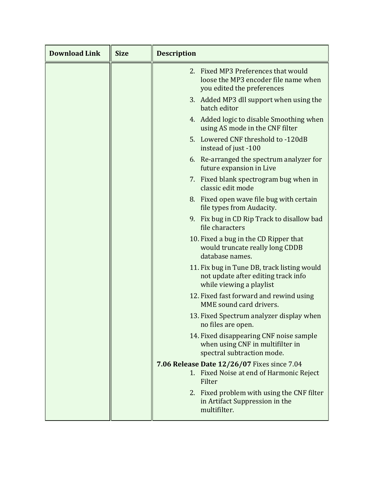| <b>Download Link</b> | <b>Size</b> | <b>Description</b>                                                                                             |
|----------------------|-------------|----------------------------------------------------------------------------------------------------------------|
|                      |             | 2. Fixed MP3 Preferences that would<br>loose the MP3 encoder file name when<br>you edited the preferences      |
|                      |             | 3. Added MP3 dll support when using the<br>batch editor                                                        |
|                      |             | 4. Added logic to disable Smoothing when<br>using AS mode in the CNF filter                                    |
|                      |             | 5. Lowered CNF threshold to -120dB<br>instead of just -100                                                     |
|                      |             | 6. Re-arranged the spectrum analyzer for<br>future expansion in Live                                           |
|                      |             | 7. Fixed blank spectrogram bug when in<br>classic edit mode                                                    |
|                      |             | 8. Fixed open wave file bug with certain<br>file types from Audacity.                                          |
|                      |             | 9. Fix bug in CD Rip Track to disallow bad<br>file characters                                                  |
|                      |             | 10. Fixed a bug in the CD Ripper that<br>would truncate really long CDDB<br>database names.                    |
|                      |             | 11. Fix bug in Tune DB, track listing would<br>not update after editing track info<br>while viewing a playlist |
|                      |             | 12. Fixed fast forward and rewind using<br>MME sound card drivers.                                             |
|                      |             | 13. Fixed Spectrum analyzer display when<br>no files are open.                                                 |
|                      |             | 14. Fixed disappearing CNF noise sample<br>when using CNF in multifilter in<br>spectral subtraction mode.      |
|                      |             | 7.06 Release Date 12/26/07 Fixes since 7.04<br>1. Fixed Noise at end of Harmonic Reject<br>Filter              |
|                      |             | 2. Fixed problem with using the CNF filter<br>in Artifact Suppression in the<br>multifilter.                   |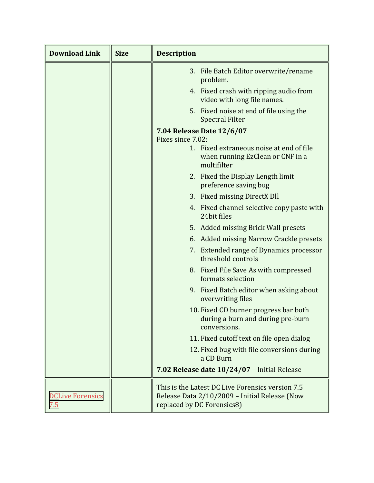| <b>Download Link</b>           | <b>Size</b> | <b>Description</b>                                                                                                              |
|--------------------------------|-------------|---------------------------------------------------------------------------------------------------------------------------------|
|                                |             | 3. File Batch Editor overwrite/rename<br>problem.                                                                               |
|                                |             | 4. Fixed crash with ripping audio from<br>video with long file names.                                                           |
|                                |             | 5. Fixed noise at end of file using the<br><b>Spectral Filter</b>                                                               |
|                                |             | 7.04 Release Date 12/6/07<br>Fixes since 7.02:                                                                                  |
|                                |             | 1. Fixed extraneous noise at end of file                                                                                        |
|                                |             | when running EzClean or CNF in a<br>multifilter                                                                                 |
|                                |             | 2. Fixed the Display Length limit<br>preference saving bug                                                                      |
|                                |             | 3. Fixed missing DirectX Dll                                                                                                    |
|                                |             | 4. Fixed channel selective copy paste with<br>24bit files                                                                       |
|                                |             | 5. Added missing Brick Wall presets                                                                                             |
|                                |             | 6. Added missing Narrow Crackle presets                                                                                         |
|                                |             | 7. Extended range of Dynamics processor<br>threshold controls                                                                   |
|                                |             | 8. Fixed File Save As with compressed<br>formats selection                                                                      |
|                                |             | 9. Fixed Batch editor when asking about<br>overwriting files                                                                    |
|                                |             | 10. Fixed CD burner progress bar both<br>during a burn and during pre-burn<br>conversions.                                      |
|                                |             | 11. Fixed cutoff text on file open dialog                                                                                       |
|                                |             | 12. Fixed bug with file conversions during<br>a CD Burn                                                                         |
|                                |             | 7.02 Release date 10/24/07 - Initial Release                                                                                    |
| <b>DCLive Forensics</b><br>7.5 |             | This is the Latest DC Live Forensics version 7.5<br>Release Data 2/10/2009 - Initial Release (Now<br>replaced by DC Forensics8) |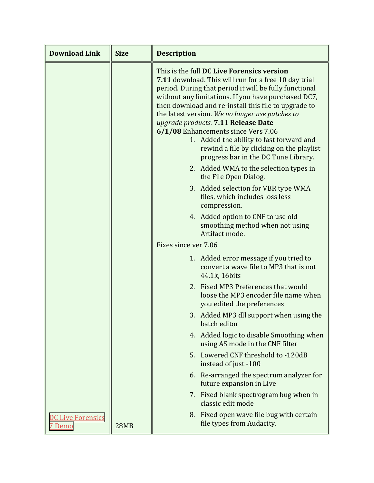| <b>Download Link</b>                      | <b>Size</b> | <b>Description</b>                                                                                                                                                                                                                                                                                                                                                                                                                                                                                                                                   |
|-------------------------------------------|-------------|------------------------------------------------------------------------------------------------------------------------------------------------------------------------------------------------------------------------------------------------------------------------------------------------------------------------------------------------------------------------------------------------------------------------------------------------------------------------------------------------------------------------------------------------------|
|                                           |             | This is the full DC Live Forensics version<br><b>7.11</b> download. This will run for a free 10 day trial<br>period. During that period it will be fully functional<br>without any limitations. If you have purchased DC7,<br>then download and re-install this file to upgrade to<br>the latest version. We no longer use patches to<br>upgrade products. 7.11 Release Date<br>6/1/08 Enhancements since Vers 7.06<br>1. Added the ability to fast forward and<br>rewind a file by clicking on the playlist<br>progress bar in the DC Tune Library. |
|                                           |             | 2. Added WMA to the selection types in<br>the File Open Dialog.                                                                                                                                                                                                                                                                                                                                                                                                                                                                                      |
|                                           |             | 3. Added selection for VBR type WMA<br>files, which includes loss less<br>compression.                                                                                                                                                                                                                                                                                                                                                                                                                                                               |
|                                           |             | 4. Added option to CNF to use old<br>smoothing method when not using<br>Artifact mode.                                                                                                                                                                                                                                                                                                                                                                                                                                                               |
|                                           |             | Fixes since ver 7.06                                                                                                                                                                                                                                                                                                                                                                                                                                                                                                                                 |
|                                           |             | 1. Added error message if you tried to<br>convert a wave file to MP3 that is not<br>44.1k, 16bits                                                                                                                                                                                                                                                                                                                                                                                                                                                    |
|                                           |             | 2. Fixed MP3 Preferences that would<br>loose the MP3 encoder file name when<br>you edited the preferences                                                                                                                                                                                                                                                                                                                                                                                                                                            |
|                                           |             | 3. Added MP3 dll support when using the<br>batch editor                                                                                                                                                                                                                                                                                                                                                                                                                                                                                              |
|                                           |             | 4. Added logic to disable Smoothing when<br>using AS mode in the CNF filter                                                                                                                                                                                                                                                                                                                                                                                                                                                                          |
|                                           |             | 5. Lowered CNF threshold to -120dB<br>instead of just -100                                                                                                                                                                                                                                                                                                                                                                                                                                                                                           |
|                                           |             | 6. Re-arranged the spectrum analyzer for<br>future expansion in Live                                                                                                                                                                                                                                                                                                                                                                                                                                                                                 |
|                                           |             | 7. Fixed blank spectrogram bug when in<br>classic edit mode                                                                                                                                                                                                                                                                                                                                                                                                                                                                                          |
| <b>DC Live Forensics</b><br><u>7 Demo</u> | <b>28MB</b> | 8. Fixed open wave file bug with certain<br>file types from Audacity.                                                                                                                                                                                                                                                                                                                                                                                                                                                                                |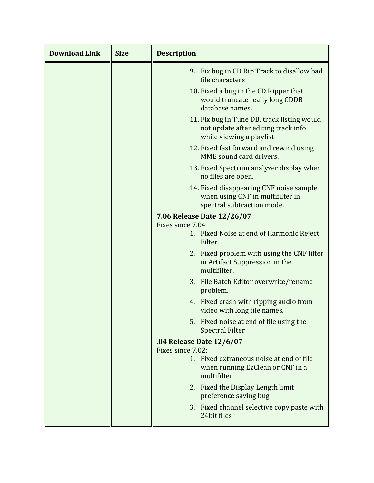| <b>Download Link</b> | <b>Size</b> | <b>Description</b>                                                                                             |
|----------------------|-------------|----------------------------------------------------------------------------------------------------------------|
|                      |             | 9. Fix bug in CD Rip Track to disallow bad<br>file characters                                                  |
|                      |             | 10. Fixed a bug in the CD Ripper that<br>would truncate really long CDDB<br>database names.                    |
|                      |             | 11. Fix bug in Tune DB, track listing would<br>not update after editing track info<br>while viewing a playlist |
|                      |             | 12. Fixed fast forward and rewind using<br>MME sound card drivers.                                             |
|                      |             | 13. Fixed Spectrum analyzer display when<br>no files are open.                                                 |
|                      |             | 14. Fixed disappearing CNF noise sample<br>when using CNF in multifilter in<br>spectral subtraction mode.      |
|                      |             | 7.06 Release Date 12/26/07                                                                                     |
|                      |             | Fixes since 7.04                                                                                               |
|                      |             | 1. Fixed Noise at end of Harmonic Reject<br>Filter                                                             |
|                      |             | 2. Fixed problem with using the CNF filter<br>in Artifact Suppression in the<br>multifilter.                   |
|                      |             | 3. File Batch Editor overwrite/rename<br>problem.                                                              |
|                      |             | 4. Fixed crash with ripping audio from<br>video with long file names.                                          |
|                      |             | 5. Fixed noise at end of file using the<br><b>Spectral Filter</b>                                              |
|                      |             | .04 Release Date 12/6/07                                                                                       |
|                      |             | Fixes since 7.02:                                                                                              |
|                      |             | 1. Fixed extraneous noise at end of file<br>when running EzClean or CNF in a<br>multifilter                    |
|                      |             | 2. Fixed the Display Length limit<br>preference saving bug                                                     |
|                      |             | 3. Fixed channel selective copy paste with<br>24bit files                                                      |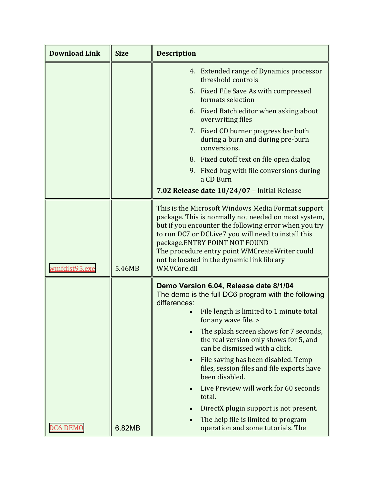| <b>Download Link</b> | <b>Size</b> | <b>Description</b>                                                                                                                                                                                                                                                                                                                                                         |
|----------------------|-------------|----------------------------------------------------------------------------------------------------------------------------------------------------------------------------------------------------------------------------------------------------------------------------------------------------------------------------------------------------------------------------|
|                      |             | 4. Extended range of Dynamics processor<br>threshold controls                                                                                                                                                                                                                                                                                                              |
|                      |             | 5. Fixed File Save As with compressed<br>formats selection                                                                                                                                                                                                                                                                                                                 |
|                      |             | 6. Fixed Batch editor when asking about<br>overwriting files                                                                                                                                                                                                                                                                                                               |
|                      |             | 7. Fixed CD burner progress bar both<br>during a burn and during pre-burn<br>conversions.                                                                                                                                                                                                                                                                                  |
|                      |             | 8. Fixed cutoff text on file open dialog                                                                                                                                                                                                                                                                                                                                   |
|                      |             | 9. Fixed bug with file conversions during<br>a CD Burn                                                                                                                                                                                                                                                                                                                     |
|                      |             | 7.02 Release date 10/24/07 - Initial Release                                                                                                                                                                                                                                                                                                                               |
| wmfdist95.exe        | 5.46MB      | This is the Microsoft Windows Media Format support<br>package. This is normally not needed on most system,<br>but if you encounter the following error when you try<br>to run DC7 or DCLive7 you will need to install this<br>package.ENTRY POINT NOT FOUND<br>The procedure entry point WMCreateWriter could<br>not be located in the dynamic link library<br>WMVCore.dll |
|                      |             | Demo Version 6.04, Release date 8/1/04<br>The demo is the full DC6 program with the following<br>differences:<br>File length is limited to 1 minute total                                                                                                                                                                                                                  |
|                      |             | for any wave file. >                                                                                                                                                                                                                                                                                                                                                       |
|                      |             | The splash screen shows for 7 seconds,<br>the real version only shows for 5, and<br>can be dismissed with a click.                                                                                                                                                                                                                                                         |
|                      |             | File saving has been disabled. Temp<br>$\bullet$<br>files, session files and file exports have<br>been disabled.                                                                                                                                                                                                                                                           |
|                      |             | Live Preview will work for 60 seconds<br>total.                                                                                                                                                                                                                                                                                                                            |
|                      |             | DirectX plugin support is not present.                                                                                                                                                                                                                                                                                                                                     |
| DC6 DEMO             | 6.82MB      | The help file is limited to program<br>operation and some tutorials. The                                                                                                                                                                                                                                                                                                   |